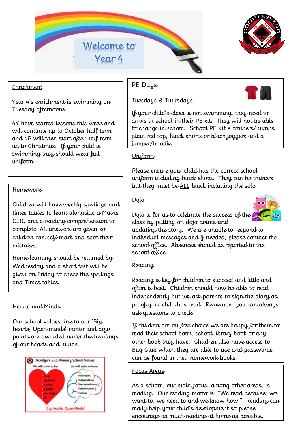



# Enrichment

Year 4's enrichment is swimming on Tuesday afternoons.

4Y have started lessons this week and will continue up to October half term and 4P will then start after half term up to Christmas. If your child is swimming they should wear full uniform.

Children will have weekly spellings and times tables to learn alongside a Maths CLIC and a reading comprehension to complete. All answers are given so children can self-mark and spot their mistakes.

Home learning should be returned by Wednesday and a short test will be given on Friday to check the spellings and Times tables.

#### Hearts and Minds

Our school values link to our 'Big hearts, Open minds' motto and dojo points are awarded under the headings of our hearts and minds.



# PE Days

Tuesdays & Thursdays



If your child's class is not swimming, they need to arrive in school in their PE kit. They will not be able to change in school. School PE Kit = trainers/pumps, plain red top, black shorts or black joggers and a jumper/hoodie.

# **Uniform**

Please ensure your child has the correct school uniform including black shoes. They can be trainers Homework **but they must be <u>ALL</u> black including the sole.** 

### Dojo

Dojo is for us to celebrate the success of the class by putting on dojo points and



updating the story. We are unable to respond to individual messages and if needed, please contact the school office. Absences should be reported to the school office.

### **Reading**

Reading is key for children to succeed and little and often is best. Children should now be able to read independently but we ask parents to sign the diary as proof your child has read. Remember you can always ask questions to check.

If children are on free choice we are happy for them to read their school book, school library book or any other book they have. Children also have access to Bug Club which they are able to use and passwords can be found in their homework books.

#### Focus Areas

As a school, our main focus, among other areas, is reading. Our reading motto is: "We read because: we want to, we need to and we know how." Reading can really help your child's development so please encourage as much reading at home as possible.